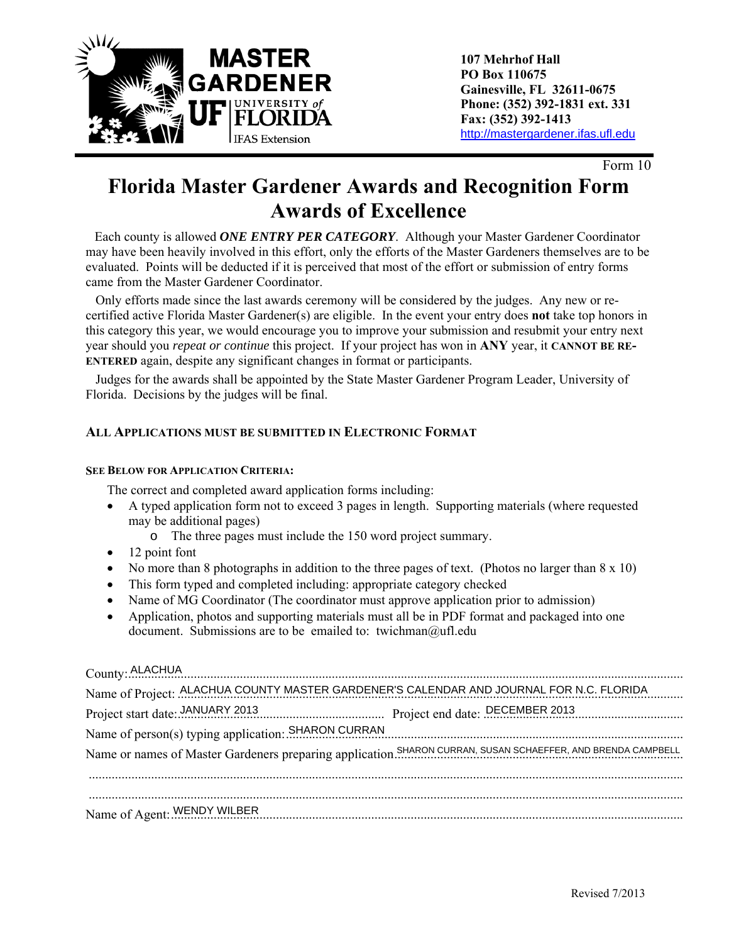

Form 10

# **Florida Master Gardener Awards and Recognition Form Awards of Excellence**

 Each county is allowed *ONE ENTRY PER CATEGORY*. Although your Master Gardener Coordinator may have been heavily involved in this effort, only the efforts of the Master Gardeners themselves are to be evaluated. Points will be deducted if it is perceived that most of the effort or submission of entry forms came from the Master Gardener Coordinator.

 Only efforts made since the last awards ceremony will be considered by the judges. Any new or recertified active Florida Master Gardener(s) are eligible. In the event your entry does **not** take top honors in this category this year, we would encourage you to improve your submission and resubmit your entry next year should you *repeat or continue* this project. If your project has won in **ANY** year, it **CANNOT BE RE-ENTERED** again, despite any significant changes in format or participants.

 Judges for the awards shall be appointed by the State Master Gardener Program Leader, University of Florida. Decisions by the judges will be final.

#### **ALL APPLICATIONS MUST BE SUBMITTED IN ELECTRONIC FORMAT**

#### **SEE BELOW FOR APPLICATION CRITERIA:**

The correct and completed award application forms including:

- A typed application form not to exceed 3 pages in length. Supporting materials (where requested may be additional pages)
	- o The three pages must include the 150 word project summary.
- $\bullet$  12 point font
- No more than 8 photographs in addition to the three pages of text. (Photos no larger than  $8 \times 10$ )
- This form typed and completed including: appropriate category checked
- Name of MG Coordinator (The coordinator must approve application prior to admission)
- Application, photos and supporting materials must all be in PDF format and packaged into one document. Submissions are to be emailed to: twichman@ufl.edu

| County: ALACHUA                                                                                                            |
|----------------------------------------------------------------------------------------------------------------------------|
| Name of Project: ALACHUA COUNTY MASTER GARDENER'S CALENDAR AND JOURNAL FOR N.C. FLORIDA                                    |
| Project start date: JANUARY 2013 Project end date: DECEMBER 2013                                                           |
|                                                                                                                            |
|                                                                                                                            |
|                                                                                                                            |
|                                                                                                                            |
| Name of Agent: WENDY WILBER <b>Example 2018</b> Name of Agent: WENDY WILBER                                                |
| Name of person(s) typing application: SHARON CURRAN [19] [2013] [2014] Name of person(s) typing application: SHARON CURRAN |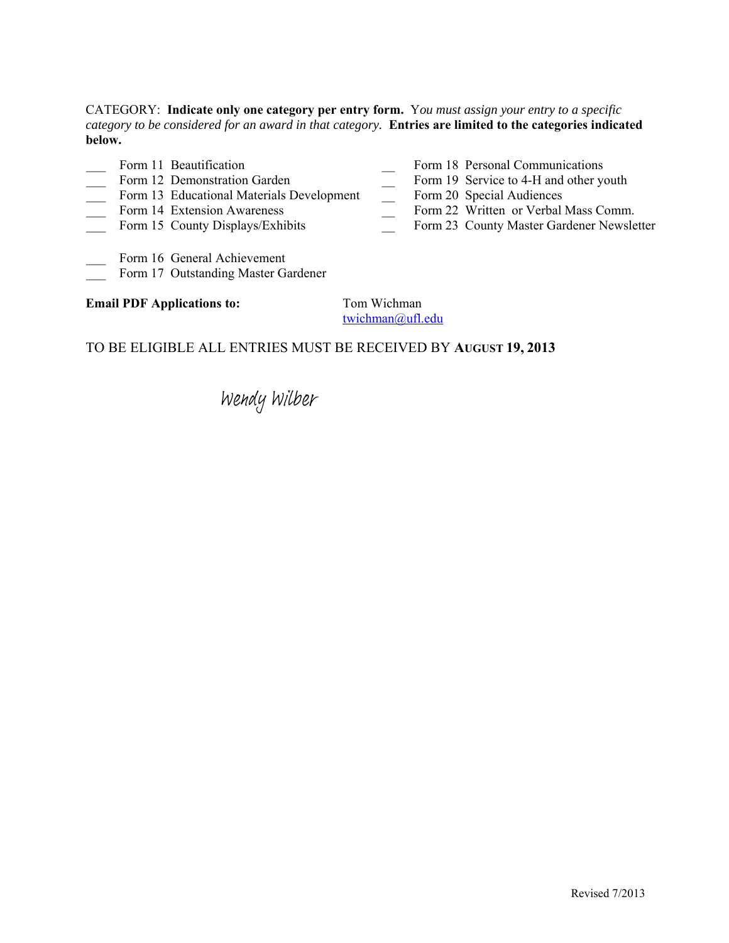CATEGORY: **Indicate only one category per entry form.** Y*ou must assign your entry to a specific category to be considered for an award in that category.* **Entries are limited to the categories indicated below.**

- 
- 
- Form 12 Demonstration Garden Form 19 Service to 4-H and other youth<br>Form 13 Educational Materials Development Form 20 Special Audiences<br>Form 22 Written or Verbal Mass Comm Form 13 Educational Materials Development
- 
- 
- Form 11 Beautification Form 18 Personal Communications
	-
	-
- Form 14 Extension Awareness \_\_ Form 22 Written or Verbal Mass Comm.
- Form 15 County Displays/Exhibits Form 23 County Master Gardener Newsletter
- Form 16 General Achievement
- Form 17 Outstanding Master Gardener

#### **Email PDF Applications to:** Tom Wichman

twichman@ufl.edu

#### TO BE ELIGIBLE ALL ENTRIES MUST BE RECEIVED BY **AUGUST 19, 2013**

Wendy Wilber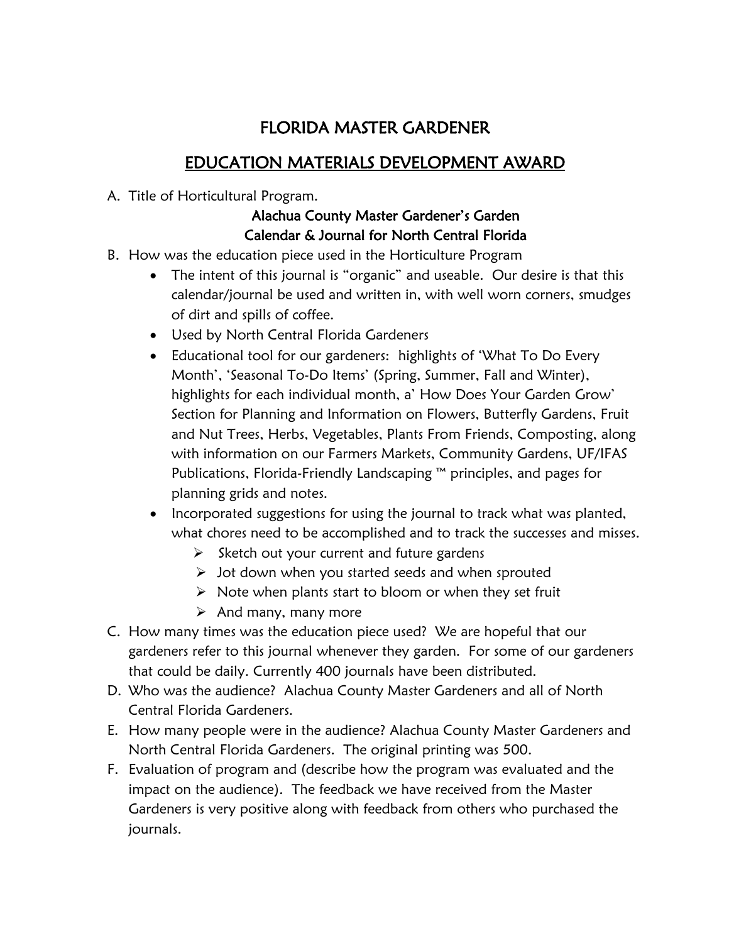# FLORIDA MASTER GARDENER

# EDUCATION MATERIALS DEVELOPMENT AWARD

A. Title of Horticultural Program.

## Alachua County Master Gardener's Garden Calendar & Journal for North Central Florida

- B. How was the education piece used in the Horticulture Program
	- The intent of this journal is "organic" and useable. Our desire is that this calendar/journal be used and written in, with well worn corners, smudges of dirt and spills of coffee.
	- Used by North Central Florida Gardeners
	- Educational tool for our gardeners: highlights of 'What To Do Every Month', 'Seasonal To-Do Items' (Spring, Summer, Fall and Winter), highlights for each individual month, a' How Does Your Garden Grow' Section for Planning and Information on Flowers, Butterfly Gardens, Fruit and Nut Trees, Herbs, Vegetables, Plants From Friends, Composting, along with information on our Farmers Markets, Community Gardens, UF/IFAS Publications, Florida-Friendly Landscaping ™ principles, and pages for planning grids and notes.
	- Incorporated suggestions for using the journal to track what was planted, what chores need to be accomplished and to track the successes and misses.
		- $\triangleright$  Sketch out your current and future gardens
		- $\triangleright$  Jot down when you started seeds and when sprouted
		- $\triangleright$  Note when plants start to bloom or when they set fruit
		- $\triangleright$  And many, many more
- C. How many times was the education piece used? We are hopeful that our gardeners refer to this journal whenever they garden. For some of our gardeners that could be daily. Currently 400 journals have been distributed.
- D. Who was the audience? Alachua County Master Gardeners and all of North Central Florida Gardeners.
- E. How many people were in the audience? Alachua County Master Gardeners and North Central Florida Gardeners. The original printing was 500.
- F. Evaluation of program and (describe how the program was evaluated and the impact on the audience). The feedback we have received from the Master Gardeners is very positive along with feedback from others who purchased the journals.